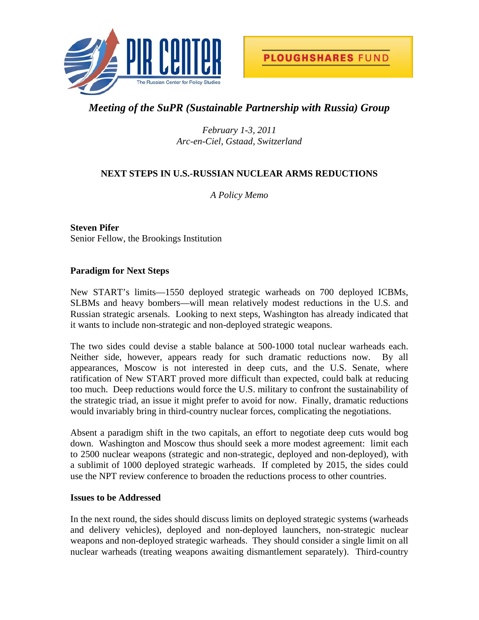

# *Meeting of the SuPR (Sustainable Partnership with Russia) Group*

*February 1-3, 2011 Arc-en-Ciel, Gstaad, Switzerland* 

# **NEXT STEPS IN U.S.-RUSSIAN NUCLEAR ARMS REDUCTIONS**

*A Policy Memo* 

**Steven Pifer**  Senior Fellow, the Brookings Institution

# **Paradigm for Next Steps**

New START's limits—1550 deployed strategic warheads on 700 deployed ICBMs, SLBMs and heavy bombers—will mean relatively modest reductions in the U.S. and Russian strategic arsenals. Looking to next steps, Washington has already indicated that it wants to include non-strategic and non-deployed strategic weapons.

The two sides could devise a stable balance at 500-1000 total nuclear warheads each. Neither side, however, appears ready for such dramatic reductions now. By all appearances, Moscow is not interested in deep cuts, and the U.S. Senate, where ratification of New START proved more difficult than expected, could balk at reducing too much. Deep reductions would force the U.S. military to confront the sustainability of the strategic triad, an issue it might prefer to avoid for now. Finally, dramatic reductions would invariably bring in third-country nuclear forces, complicating the negotiations.

Absent a paradigm shift in the two capitals, an effort to negotiate deep cuts would bog down. Washington and Moscow thus should seek a more modest agreement: limit each to 2500 nuclear weapons (strategic and non-strategic, deployed and non-deployed), with a sublimit of 1000 deployed strategic warheads. If completed by 2015, the sides could use the NPT review conference to broaden the reductions process to other countries.

## **Issues to be Addressed**

In the next round, the sides should discuss limits on deployed strategic systems (warheads and delivery vehicles), deployed and non-deployed launchers, non-strategic nuclear weapons and non-deployed strategic warheads. They should consider a single limit on all nuclear warheads (treating weapons awaiting dismantlement separately). Third-country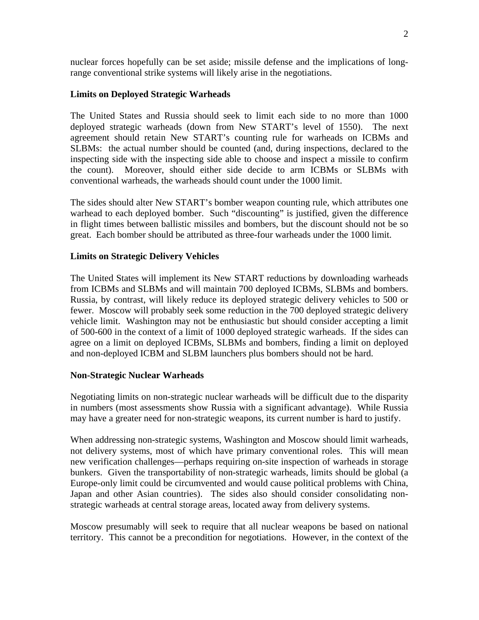nuclear forces hopefully can be set aside; missile defense and the implications of longrange conventional strike systems will likely arise in the negotiations.

#### **Limits on Deployed Strategic Warheads**

The United States and Russia should seek to limit each side to no more than 1000 deployed strategic warheads (down from New START's level of 1550). The next agreement should retain New START's counting rule for warheads on ICBMs and SLBMs: the actual number should be counted (and, during inspections, declared to the inspecting side with the inspecting side able to choose and inspect a missile to confirm the count). Moreover, should either side decide to arm ICBMs or SLBMs with conventional warheads, the warheads should count under the 1000 limit.

The sides should alter New START's bomber weapon counting rule, which attributes one warhead to each deployed bomber. Such "discounting" is justified, given the difference in flight times between ballistic missiles and bombers, but the discount should not be so great. Each bomber should be attributed as three-four warheads under the 1000 limit.

## **Limits on Strategic Delivery Vehicles**

The United States will implement its New START reductions by downloading warheads from ICBMs and SLBMs and will maintain 700 deployed ICBMs, SLBMs and bombers. Russia, by contrast, will likely reduce its deployed strategic delivery vehicles to 500 or fewer. Moscow will probably seek some reduction in the 700 deployed strategic delivery vehicle limit. Washington may not be enthusiastic but should consider accepting a limit of 500-600 in the context of a limit of 1000 deployed strategic warheads. If the sides can agree on a limit on deployed ICBMs, SLBMs and bombers, finding a limit on deployed and non-deployed ICBM and SLBM launchers plus bombers should not be hard.

#### **Non-Strategic Nuclear Warheads**

Negotiating limits on non-strategic nuclear warheads will be difficult due to the disparity in numbers (most assessments show Russia with a significant advantage). While Russia may have a greater need for non-strategic weapons, its current number is hard to justify.

When addressing non-strategic systems, Washington and Moscow should limit warheads, not delivery systems, most of which have primary conventional roles. This will mean new verification challenges—perhaps requiring on-site inspection of warheads in storage bunkers. Given the transportability of non-strategic warheads, limits should be global (a Europe-only limit could be circumvented and would cause political problems with China, Japan and other Asian countries). The sides also should consider consolidating nonstrategic warheads at central storage areas, located away from delivery systems.

Moscow presumably will seek to require that all nuclear weapons be based on national territory. This cannot be a precondition for negotiations. However, in the context of the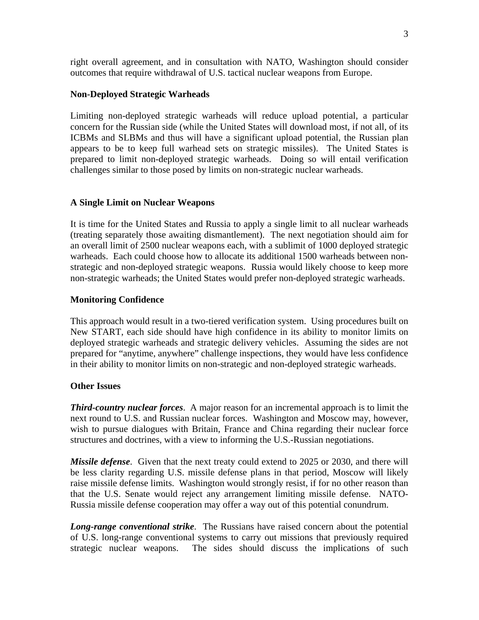right overall agreement, and in consultation with NATO, Washington should consider outcomes that require withdrawal of U.S. tactical nuclear weapons from Europe.

#### **Non-Deployed Strategic Warheads**

Limiting non-deployed strategic warheads will reduce upload potential, a particular concern for the Russian side (while the United States will download most, if not all, of its ICBMs and SLBMs and thus will have a significant upload potential, the Russian plan appears to be to keep full warhead sets on strategic missiles). The United States is prepared to limit non-deployed strategic warheads. Doing so will entail verification challenges similar to those posed by limits on non-strategic nuclear warheads.

#### **A Single Limit on Nuclear Weapons**

It is time for the United States and Russia to apply a single limit to all nuclear warheads (treating separately those awaiting dismantlement). The next negotiation should aim for an overall limit of 2500 nuclear weapons each, with a sublimit of 1000 deployed strategic warheads. Each could choose how to allocate its additional 1500 warheads between nonstrategic and non-deployed strategic weapons. Russia would likely choose to keep more non-strategic warheads; the United States would prefer non-deployed strategic warheads.

#### **Monitoring Confidence**

This approach would result in a two-tiered verification system. Using procedures built on New START, each side should have high confidence in its ability to monitor limits on deployed strategic warheads and strategic delivery vehicles. Assuming the sides are not prepared for "anytime, anywhere" challenge inspections, they would have less confidence in their ability to monitor limits on non-strategic and non-deployed strategic warheads.

#### **Other Issues**

*Third-country nuclear forces*. A major reason for an incremental approach is to limit the next round to U.S. and Russian nuclear forces. Washington and Moscow may, however, wish to pursue dialogues with Britain, France and China regarding their nuclear force structures and doctrines, with a view to informing the U.S.-Russian negotiations.

*Missile defense*. Given that the next treaty could extend to 2025 or 2030, and there will be less clarity regarding U.S. missile defense plans in that period, Moscow will likely raise missile defense limits. Washington would strongly resist, if for no other reason than that the U.S. Senate would reject any arrangement limiting missile defense. NATO-Russia missile defense cooperation may offer a way out of this potential conundrum.

*Long-range conventional strike*. The Russians have raised concern about the potential of U.S. long-range conventional systems to carry out missions that previously required strategic nuclear weapons. The sides should discuss the implications of such